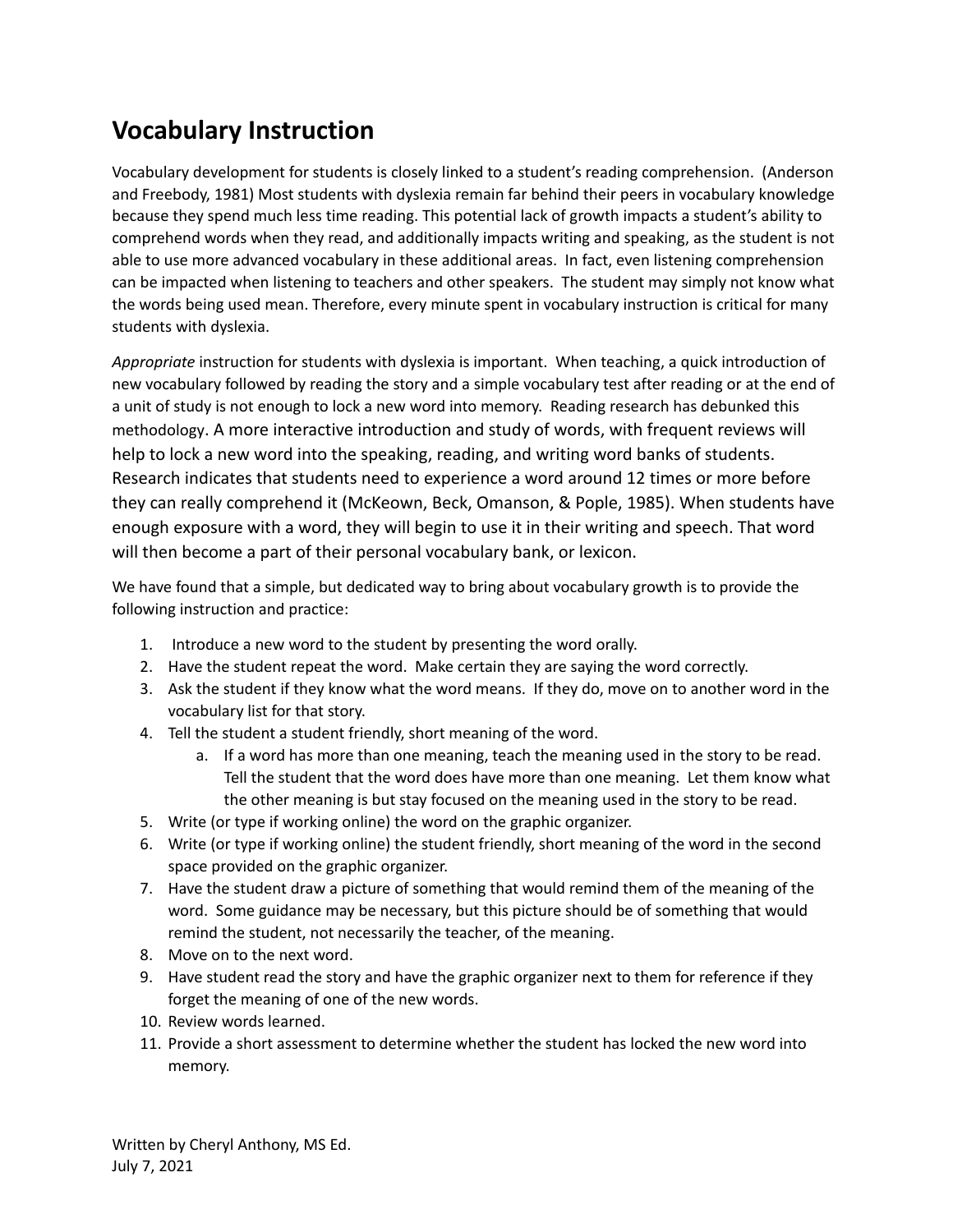## **Vocabulary Instruction**

Vocabulary development for students is closely linked to a student's reading comprehension. (Anderson and Freebody, 1981) Most students with dyslexia remain far behind their peers in vocabulary knowledge because they spend much less time reading. This potential lack of growth impacts a student's ability to comprehend words when they read, and additionally impacts writing and speaking, as the student is not able to use more advanced vocabulary in these additional areas. In fact, even listening comprehension can be impacted when listening to teachers and other speakers. The student may simply not know what the words being used mean. Therefore, every minute spent in vocabulary instruction is critical for many students with dyslexia.

*Appropriate* instruction for students with dyslexia is important. When teaching, a quick introduction of new vocabulary followed by reading the story and a simple vocabulary test after reading or at the end of a unit of study is not enough to lock a new word into memory. Reading research has debunked this methodology. A more interactive introduction and study of words, with frequent reviews will help to lock a new word into the speaking, reading, and writing word banks of students. Research indicates that students need to experience a word around 12 times or more before they can really comprehend it (McKeown, Beck, Omanson, & Pople, 1985). When students have enough exposure with a word, they will begin to use it in their writing and speech. That word will then become a part of their personal vocabulary bank, or lexicon.

We have found that a simple, but dedicated way to bring about vocabulary growth is to provide the following instruction and practice:

- 1. Introduce a new word to the student by presenting the word orally.
- 2. Have the student repeat the word. Make certain they are saying the word correctly.
- 3. Ask the student if they know what the word means. If they do, move on to another word in the vocabulary list for that story.
- 4. Tell the student a student friendly, short meaning of the word.
	- a. If a word has more than one meaning, teach the meaning used in the story to be read. Tell the student that the word does have more than one meaning. Let them know what the other meaning is but stay focused on the meaning used in the story to be read.
- 5. Write (or type if working online) the word on the graphic organizer.
- 6. Write (or type if working online) the student friendly, short meaning of the word in the second space provided on the graphic organizer.
- 7. Have the student draw a picture of something that would remind them of the meaning of the word. Some guidance may be necessary, but this picture should be of something that would remind the student, not necessarily the teacher, of the meaning.
- 8. Move on to the next word.
- 9. Have student read the story and have the graphic organizer next to them for reference if they forget the meaning of one of the new words.
- 10. Review words learned.
- 11. Provide a short assessment to determine whether the student has locked the new word into memory.